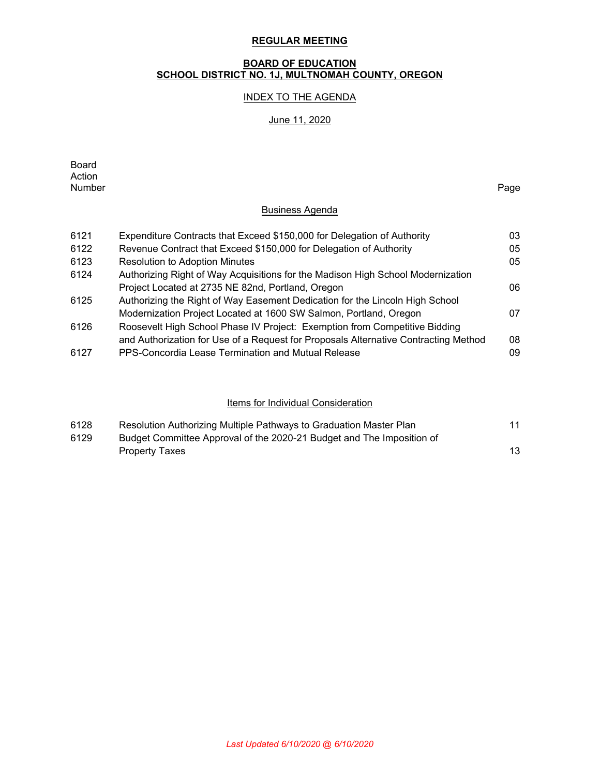# **REGULAR MEETING**

# **BOARD OF EDUCATION SCHOOL DISTRICT NO. 1J, MULTNOMAH COUNTY, OREGON**

# INDEX TO THE AGENDA

# June 11, 2020

| Board  |      |
|--------|------|
| Action |      |
| Number | Page |

# Business Agenda

| 6121 | Expenditure Contracts that Exceed \$150,000 for Delegation of Authority             | 03 |
|------|-------------------------------------------------------------------------------------|----|
| 6122 | Revenue Contract that Exceed \$150,000 for Delegation of Authority                  | 05 |
| 6123 | <b>Resolution to Adoption Minutes</b>                                               | 05 |
| 6124 | Authorizing Right of Way Acquisitions for the Madison High School Modernization     |    |
|      | Project Located at 2735 NE 82nd, Portland, Oregon                                   | 06 |
| 6125 | Authorizing the Right of Way Easement Dedication for the Lincoln High School        |    |
|      | Modernization Project Located at 1600 SW Salmon, Portland, Oregon                   | 07 |
| 6126 | Roosevelt High School Phase IV Project: Exemption from Competitive Bidding          |    |
|      | and Authorization for Use of a Request for Proposals Alternative Contracting Method | 08 |
| 6127 | PPS-Concordia Lease Termination and Mutual Release                                  | 09 |

### Items for Individual Consideration

| 6128 | Resolution Authorizing Multiple Pathways to Graduation Master Plan    |  |
|------|-----------------------------------------------------------------------|--|
| 6129 | Budget Committee Approval of the 2020-21 Budget and The Imposition of |  |
|      | <b>Property Taxes</b>                                                 |  |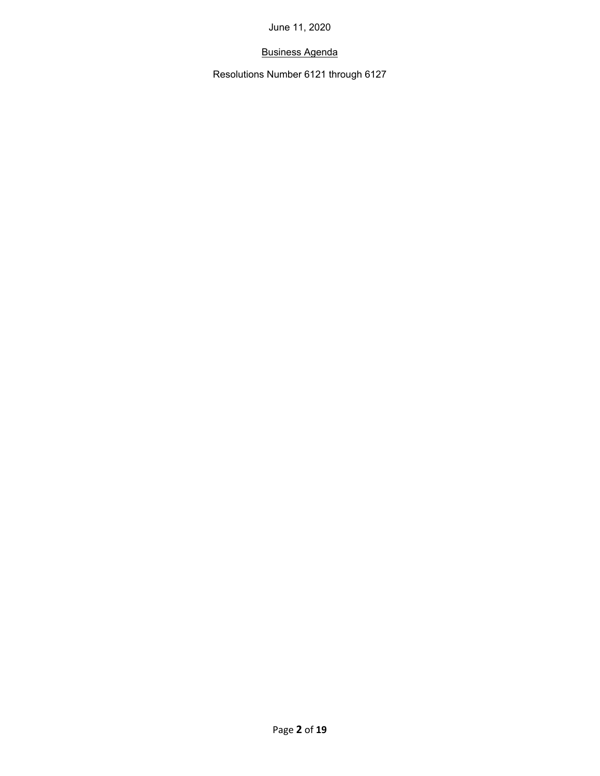# Business Agenda

Resolutions Number 6121 through 6127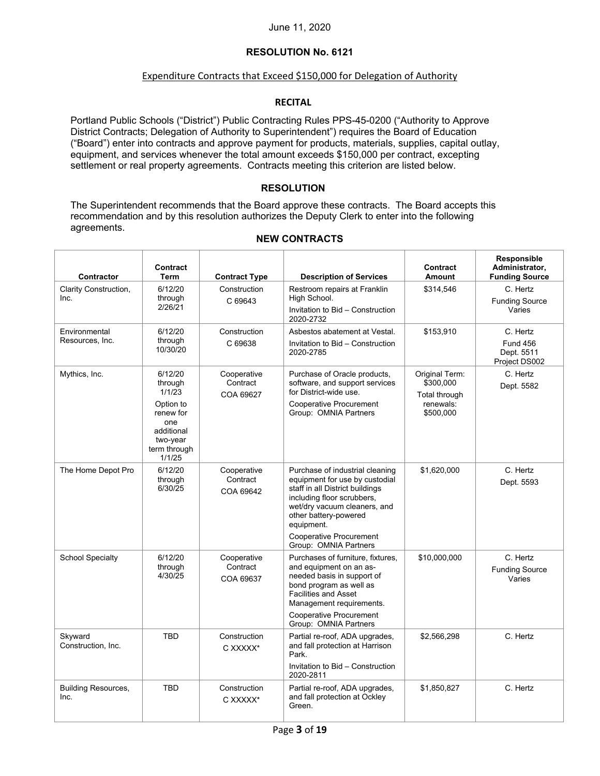# **RESOLUTION No. 6121**

# Expenditure Contracts that Exceed \$150,000 for Delegation of Authority

# **RECITAL**

Portland Public Schools ("District") Public Contracting Rules PPS-45-0200 ("Authority to Approve District Contracts; Delegation of Authority to Superintendent") requires the Board of Education ("Board") enter into contracts and approve payment for products, materials, supplies, capital outlay, equipment, and services whenever the total amount exceeds \$150,000 per contract, excepting settlement or real property agreements. Contracts meeting this criterion are listed below.

## **RESOLUTION**

The Superintendent recommends that the Board approve these contracts. The Board accepts this recommendation and by this resolution authorizes the Deputy Clerk to enter into the following agreements.

| Contractor                         | Contract<br>Term                                                                  | <b>Contract Type</b>                 | <b>Description of Services</b>                                                                                                                                                                            | <b>Contract</b><br>Amount                    | Responsible<br>Administrator,<br><b>Funding Source</b> |
|------------------------------------|-----------------------------------------------------------------------------------|--------------------------------------|-----------------------------------------------------------------------------------------------------------------------------------------------------------------------------------------------------------|----------------------------------------------|--------------------------------------------------------|
| Clarity Construction,              | 6/12/20                                                                           | Construction                         | Restroom repairs at Franklin                                                                                                                                                                              | \$314,546                                    | C. Hertz                                               |
| Inc.                               | through<br>2/26/21                                                                | C 69643                              | High School.<br>Invitation to Bid - Construction<br>2020-2732                                                                                                                                             |                                              | <b>Funding Source</b><br>Varies                        |
| Environmental                      | 6/12/20                                                                           | Construction                         | Asbestos abatement at Vestal.                                                                                                                                                                             | \$153,910                                    | C. Hertz                                               |
| Resources, Inc.                    | through<br>10/30/20                                                               | C 69638                              | Invitation to Bid - Construction<br>2020-2785                                                                                                                                                             |                                              | <b>Fund 456</b><br>Dept. 5511<br>Project DS002         |
| Mythics, Inc.                      | 6/12/20<br>through<br>1/1/23                                                      | Cooperative<br>Contract<br>COA 69627 | Purchase of Oracle products,<br>software, and support services<br>for District-wide use.                                                                                                                  | Original Term:<br>\$300,000<br>Total through | C. Hertz<br>Dept. 5582                                 |
|                                    | Option to<br>renew for<br>one<br>additional<br>two-year<br>term through<br>1/1/25 |                                      | Cooperative Procurement<br>Group: OMNIA Partners                                                                                                                                                          | renewals:<br>\$500,000                       |                                                        |
| The Home Depot Pro                 | 6/12/20<br>through<br>6/30/25                                                     | Cooperative<br>Contract<br>COA 69642 | Purchase of industrial cleaning<br>equipment for use by custodial<br>staff in all District buildings<br>including floor scrubbers.<br>wet/dry vacuum cleaners, and<br>other battery-powered<br>equipment. | \$1,620,000                                  | C. Hertz<br>Dept. 5593                                 |
|                                    |                                                                                   |                                      | Cooperative Procurement<br>Group: OMNIA Partners                                                                                                                                                          |                                              |                                                        |
| <b>School Specialty</b>            | 6/12/20<br>through<br>4/30/25                                                     | Cooperative<br>Contract<br>COA 69637 | Purchases of furniture, fixtures,<br>and equipment on an as-<br>needed basis in support of<br>bond program as well as<br><b>Facilities and Asset</b><br>Management requirements.                          | \$10,000,000                                 | C. Hertz<br><b>Funding Source</b><br>Varies            |
|                                    |                                                                                   |                                      | Cooperative Procurement<br>Group: OMNIA Partners                                                                                                                                                          |                                              |                                                        |
| Skyward<br>Construction, Inc.      | <b>TBD</b>                                                                        | Construction<br>C XXXXX*             | Partial re-roof, ADA upgrades,<br>and fall protection at Harrison<br>Park.                                                                                                                                | \$2,566,298                                  | C. Hertz                                               |
|                                    |                                                                                   |                                      | Invitation to Bid - Construction<br>2020-2811                                                                                                                                                             |                                              |                                                        |
| <b>Building Resources,</b><br>Inc. | <b>TBD</b>                                                                        | Construction<br>C XXXXX*             | Partial re-roof, ADA upgrades,<br>and fall protection at Ockley<br>Green.                                                                                                                                 | \$1,850,827                                  | C. Hertz                                               |

# **NEW CONTRACTS**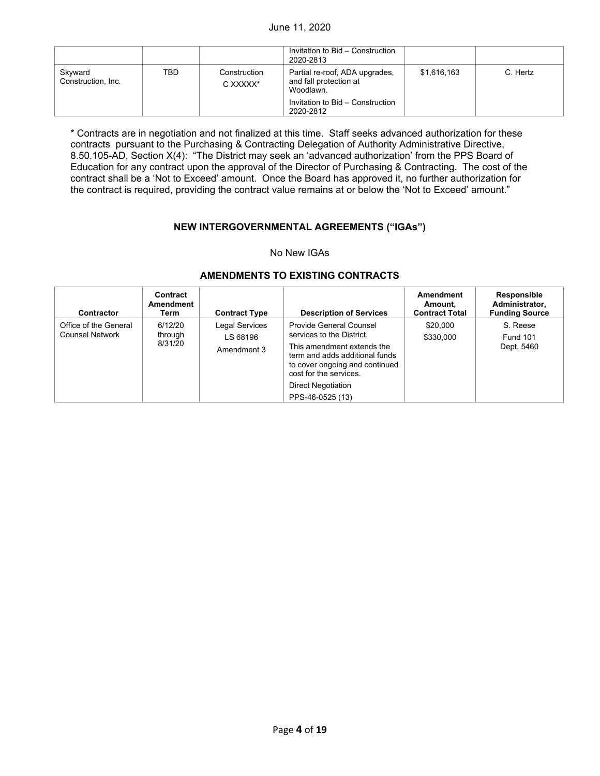|                               |     |                          | Invitation to Bid - Construction<br>2020-2813                         |             |          |
|-------------------------------|-----|--------------------------|-----------------------------------------------------------------------|-------------|----------|
| Skyward<br>Construction, Inc. | TBD | Construction<br>C XXXXX* | Partial re-roof, ADA upgrades,<br>and fall protection at<br>Woodlawn. | \$1,616,163 | C. Hertz |
|                               |     |                          | Invitation to Bid - Construction<br>2020-2812                         |             |          |

\* Contracts are in negotiation and not finalized at this time. Staff seeks advanced authorization for these contracts pursuant to the Purchasing & Contracting Delegation of Authority Administrative Directive, 8.50.105-AD, Section X(4): "The District may seek an 'advanced authorization' from the PPS Board of Education for any contract upon the approval of the Director of Purchasing & Contracting. The cost of the contract shall be a 'Not to Exceed' amount. Once the Board has approved it, no further authorization for the contract is required, providing the contract value remains at or below the 'Not to Exceed' amount."

## **NEW INTERGOVERNMENTAL AGREEMENTS ("IGAs")**

#### No New IGAs

#### **Contractor Contract**  Amendment<br>
Term
Contract Type **Description of Services Amendment Amount, Contract Total Responsible Administrator, Funding Source** Office of the General Counsel Network through<br>8/31/20 6/12/20 through 8/31/20 | Amendment 3 | This amendment Legal Services LS 68196 Provide General Counsel services to the District. This amendment extends the term and adds additional funds to cover ongoing and continued cost for the services. Direct Negotiation PPS-46-0525 (13) \$20,000 S. Reese \$330,000 Fund 101 Dept. 5460

#### **AMENDMENTS TO EXISTING CONTRACTS**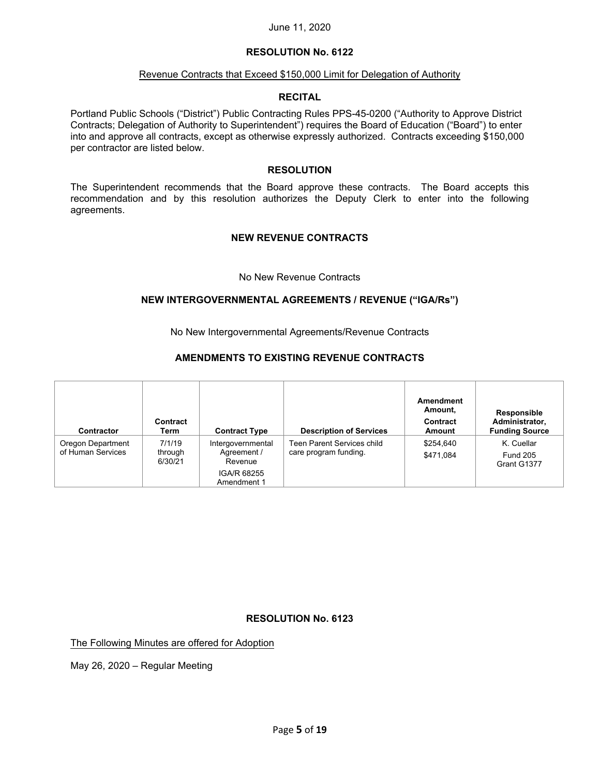# **RESOLUTION No. 6122**

#### Revenue Contracts that Exceed \$150,000 Limit for Delegation of Authority

#### **RECITAL**

Portland Public Schools ("District") Public Contracting Rules PPS-45-0200 ("Authority to Approve District Contracts; Delegation of Authority to Superintendent") requires the Board of Education ("Board") to enter into and approve all contracts, except as otherwise expressly authorized. Contracts exceeding \$150,000 per contractor are listed below.

#### **RESOLUTION**

The Superintendent recommends that the Board approve these contracts. The Board accepts this recommendation and by this resolution authorizes the Deputy Clerk to enter into the following agreements.

# **NEW REVENUE CONTRACTS**

#### No New Revenue Contracts

## **NEW INTERGOVERNMENTAL AGREEMENTS / REVENUE ("IGA/Rs")**

No New Intergovernmental Agreements/Revenue Contracts

# **AMENDMENTS TO EXISTING REVENUE CONTRACTS**

| <b>Contractor</b>                      | Contract<br>Term             | <b>Contract Type</b>                                                      | <b>Description of Services</b>                      | Amendment<br>Amount,<br>Contract<br>Amount | Responsible<br>Administrator,<br><b>Funding Source</b> |
|----------------------------------------|------------------------------|---------------------------------------------------------------------------|-----------------------------------------------------|--------------------------------------------|--------------------------------------------------------|
| Oregon Department<br>of Human Services | 7/1/19<br>through<br>6/30/21 | Intergovernmental<br>Agreement /<br>Revenue<br>IGA/R 68255<br>Amendment 1 | Teen Parent Services child<br>care program funding. | \$254,640<br>\$471,084                     | K. Cuellar<br><b>Fund 205</b><br>Grant G1377           |

#### **RESOLUTION No. 6123**

The Following Minutes are offered for Adoption

May 26, 2020 – Regular Meeting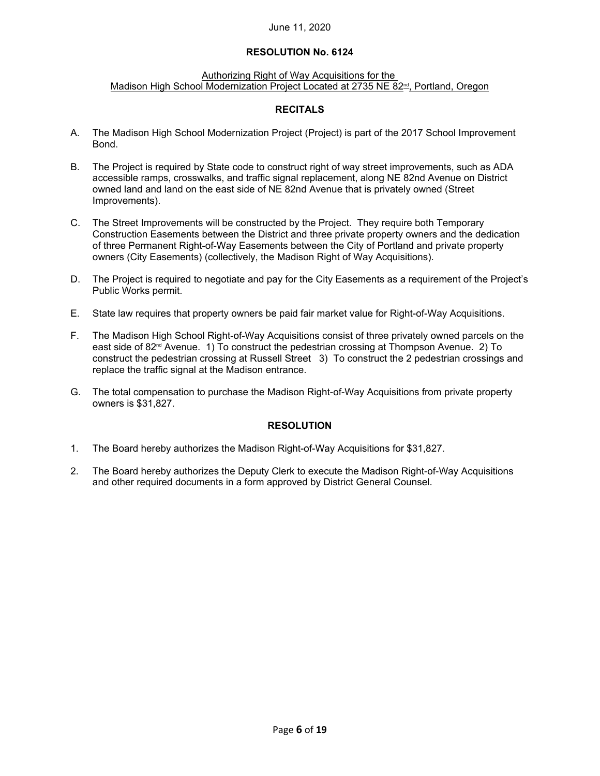# **RESOLUTION No. 6124**

#### Authorizing Right of Way Acquisitions for the Madison High School Modernization Project Located at 2735 NE 82<sup>nd</sup>, Portland, Oregon

# **RECITALS**

- A. The Madison High School Modernization Project (Project) is part of the 2017 School Improvement Bond.
- B. The Project is required by State code to construct right of way street improvements, such as ADA accessible ramps, crosswalks, and traffic signal replacement, along NE 82nd Avenue on District owned land and land on the east side of NE 82nd Avenue that is privately owned (Street Improvements).
- C. The Street Improvements will be constructed by the Project. They require both Temporary Construction Easements between the District and three private property owners and the dedication of three Permanent Right-of-Way Easements between the City of Portland and private property owners (City Easements) (collectively, the Madison Right of Way Acquisitions).
- D. The Project is required to negotiate and pay for the City Easements as a requirement of the Project's Public Works permit.
- E. State law requires that property owners be paid fair market value for Right-of-Way Acquisitions.
- F. The Madison High School Right-of-Way Acquisitions consist of three privately owned parcels on the east side of 82<sup>nd</sup> Avenue. 1) To construct the pedestrian crossing at Thompson Avenue. 2) To construct the pedestrian crossing at Russell Street 3) To construct the 2 pedestrian crossings and replace the traffic signal at the Madison entrance.
- G. The total compensation to purchase the Madison Right-of-Way Acquisitions from private property owners is \$31,827.

- 1. The Board hereby authorizes the Madison Right-of-Way Acquisitions for \$31,827.
- 2. The Board hereby authorizes the Deputy Clerk to execute the Madison Right-of-Way Acquisitions and other required documents in a form approved by District General Counsel.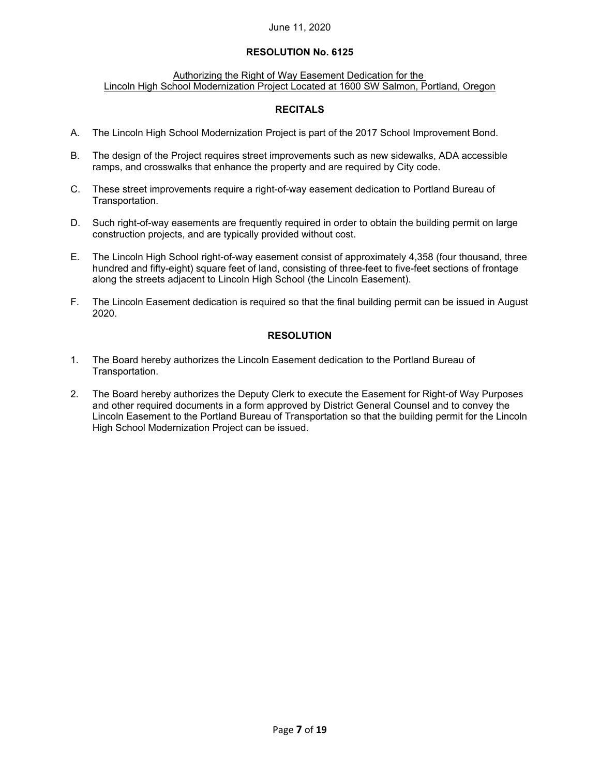# **RESOLUTION No. 6125**

#### Authorizing the Right of Way Easement Dedication for the Lincoln High School Modernization Project Located at 1600 SW Salmon, Portland, Oregon

# **RECITALS**

- A. The Lincoln High School Modernization Project is part of the 2017 School Improvement Bond.
- B. The design of the Project requires street improvements such as new sidewalks, ADA accessible ramps, and crosswalks that enhance the property and are required by City code.
- C. These street improvements require a right-of-way easement dedication to Portland Bureau of Transportation.
- D. Such right-of-way easements are frequently required in order to obtain the building permit on large construction projects, and are typically provided without cost.
- E. The Lincoln High School right-of-way easement consist of approximately 4,358 (four thousand, three hundred and fifty-eight) square feet of land, consisting of three-feet to five-feet sections of frontage along the streets adjacent to Lincoln High School (the Lincoln Easement).
- F. The Lincoln Easement dedication is required so that the final building permit can be issued in August 2020.

- 1. The Board hereby authorizes the Lincoln Easement dedication to the Portland Bureau of Transportation.
- 2. The Board hereby authorizes the Deputy Clerk to execute the Easement for Right-of Way Purposes and other required documents in a form approved by District General Counsel and to convey the Lincoln Easement to the Portland Bureau of Transportation so that the building permit for the Lincoln High School Modernization Project can be issued.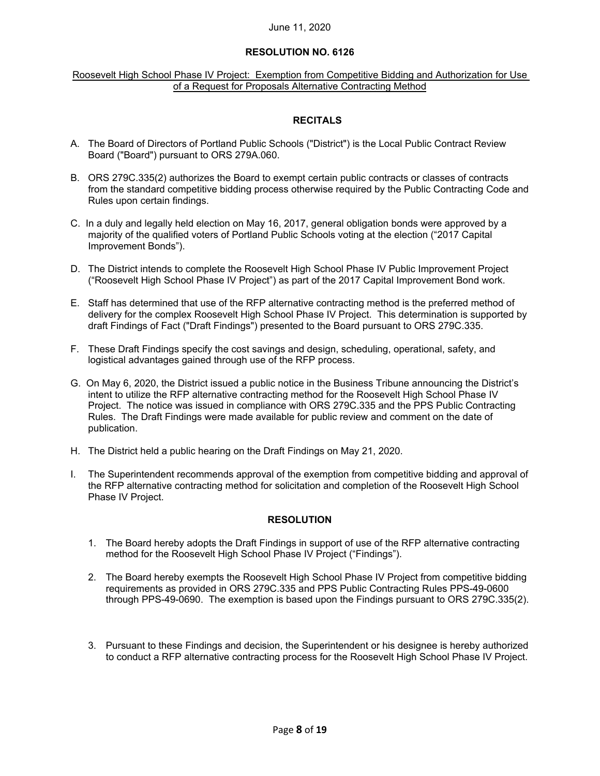### **RESOLUTION NO. 6126**

#### Roosevelt High School Phase IV Project: Exemption from Competitive Bidding and Authorization for Use of a Request for Proposals Alternative Contracting Method

# **RECITALS**

- A. The Board of Directors of Portland Public Schools ("District") is the Local Public Contract Review Board ("Board") pursuant to ORS 279A.060.
- B. ORS 279C.335(2) authorizes the Board to exempt certain public contracts or classes of contracts from the standard competitive bidding process otherwise required by the Public Contracting Code and Rules upon certain findings.
- C. In a duly and legally held election on May 16, 2017, general obligation bonds were approved by a majority of the qualified voters of Portland Public Schools voting at the election ("2017 Capital Improvement Bonds").
- D. The District intends to complete the Roosevelt High School Phase IV Public Improvement Project ("Roosevelt High School Phase IV Project") as part of the 2017 Capital Improvement Bond work.
- E. Staff has determined that use of the RFP alternative contracting method is the preferred method of delivery for the complex Roosevelt High School Phase IV Project. This determination is supported by draft Findings of Fact ("Draft Findings") presented to the Board pursuant to ORS 279C.335.
- F. These Draft Findings specify the cost savings and design, scheduling, operational, safety, and logistical advantages gained through use of the RFP process.
- G. On May 6, 2020, the District issued a public notice in the Business Tribune announcing the District's intent to utilize the RFP alternative contracting method for the Roosevelt High School Phase IV Project. The notice was issued in compliance with ORS 279C.335 and the PPS Public Contracting Rules. The Draft Findings were made available for public review and comment on the date of publication.
- H. The District held a public hearing on the Draft Findings on May 21, 2020.
- I. The Superintendent recommends approval of the exemption from competitive bidding and approval of the RFP alternative contracting method for solicitation and completion of the Roosevelt High School Phase IV Project.

- 1. The Board hereby adopts the Draft Findings in support of use of the RFP alternative contracting method for the Roosevelt High School Phase IV Project ("Findings").
- 2. The Board hereby exempts the Roosevelt High School Phase IV Project from competitive bidding requirements as provided in ORS 279C.335 and PPS Public Contracting Rules PPS-49-0600 through PPS-49-0690. The exemption is based upon the Findings pursuant to ORS 279C.335(2).
- 3. Pursuant to these Findings and decision, the Superintendent or his designee is hereby authorized to conduct a RFP alternative contracting process for the Roosevelt High School Phase IV Project.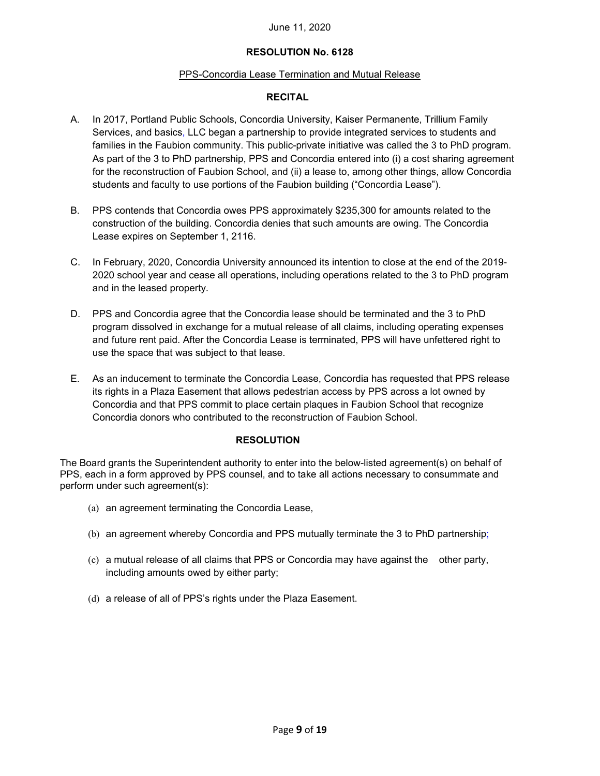# **RESOLUTION No. 6128**

# PPS-Concordia Lease Termination and Mutual Release

# **RECITAL**

- A. In 2017, Portland Public Schools, Concordia University, Kaiser Permanente, Trillium Family Services, and basics, LLC began a partnership to provide integrated services to students and families in the Faubion community. This public-private initiative was called the 3 to PhD program. As part of the 3 to PhD partnership, PPS and Concordia entered into (i) a cost sharing agreement for the reconstruction of Faubion School, and (ii) a lease to, among other things, allow Concordia students and faculty to use portions of the Faubion building ("Concordia Lease").
- B. PPS contends that Concordia owes PPS approximately \$235,300 for amounts related to the construction of the building. Concordia denies that such amounts are owing. The Concordia Lease expires on September 1, 2116.
- C. In February, 2020, Concordia University announced its intention to close at the end of the 2019- 2020 school year and cease all operations, including operations related to the 3 to PhD program and in the leased property.
- D. PPS and Concordia agree that the Concordia lease should be terminated and the 3 to PhD program dissolved in exchange for a mutual release of all claims, including operating expenses and future rent paid. After the Concordia Lease is terminated, PPS will have unfettered right to use the space that was subject to that lease.
- E. As an inducement to terminate the Concordia Lease, Concordia has requested that PPS release its rights in a Plaza Easement that allows pedestrian access by PPS across a lot owned by Concordia and that PPS commit to place certain plaques in Faubion School that recognize Concordia donors who contributed to the reconstruction of Faubion School.

# **RESOLUTION**

The Board grants the Superintendent authority to enter into the below-listed agreement(s) on behalf of PPS, each in a form approved by PPS counsel, and to take all actions necessary to consummate and perform under such agreement(s):

- (a) an agreement terminating the Concordia Lease,
- (b) an agreement whereby Concordia and PPS mutually terminate the 3 to PhD partnership;
- (c) a mutual release of all claims that PPS or Concordia may have against the other party, including amounts owed by either party;
- (d) a release of all of PPS's rights under the Plaza Easement.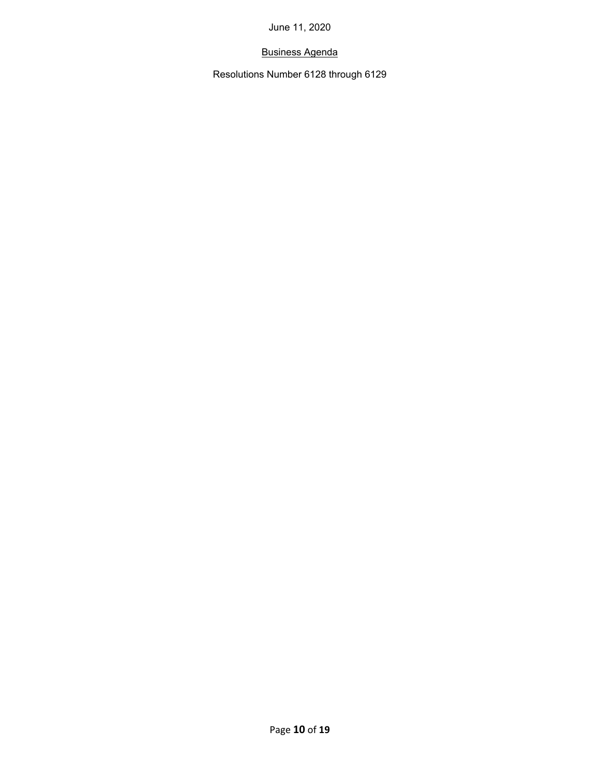# Business Agenda

Resolutions Number 6128 through 6129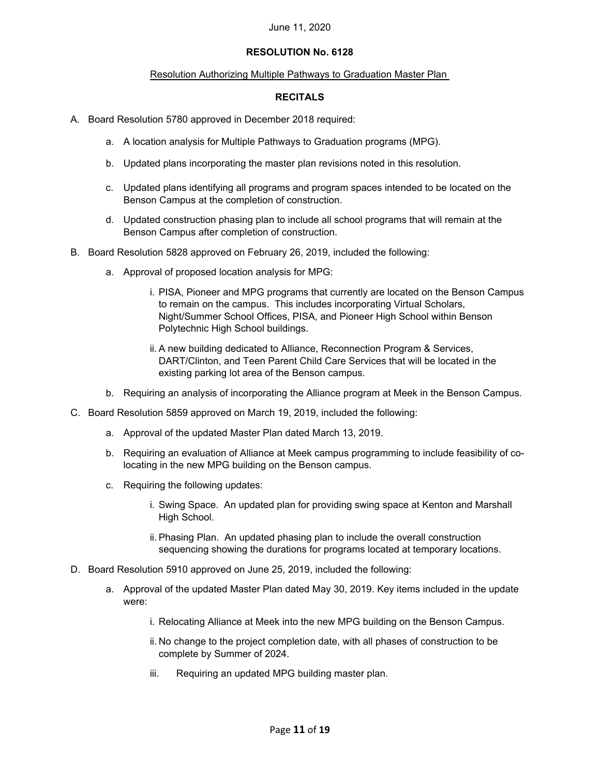# **RESOLUTION No. 6128**

#### Resolution Authorizing Multiple Pathways to Graduation Master Plan

### **RECITALS**

- A. Board Resolution 5780 approved in December 2018 required:
	- a. A location analysis for Multiple Pathways to Graduation programs (MPG).
	- b. Updated plans incorporating the master plan revisions noted in this resolution.
	- c. Updated plans identifying all programs and program spaces intended to be located on the Benson Campus at the completion of construction.
	- d. Updated construction phasing plan to include all school programs that will remain at the Benson Campus after completion of construction.
- B. Board Resolution 5828 approved on February 26, 2019, included the following:
	- a. Approval of proposed location analysis for MPG:
		- i. PISA, Pioneer and MPG programs that currently are located on the Benson Campus to remain on the campus. This includes incorporating Virtual Scholars, Night/Summer School Offices, PISA, and Pioneer High School within Benson Polytechnic High School buildings.
		- ii. A new building dedicated to Alliance, Reconnection Program & Services, DART/Clinton, and Teen Parent Child Care Services that will be located in the existing parking lot area of the Benson campus.
	- b. Requiring an analysis of incorporating the Alliance program at Meek in the Benson Campus.
- C. Board Resolution 5859 approved on March 19, 2019, included the following:
	- a. Approval of the updated Master Plan dated March 13, 2019.
	- b. Requiring an evaluation of Alliance at Meek campus programming to include feasibility of colocating in the new MPG building on the Benson campus.
	- c. Requiring the following updates:
		- i. Swing Space. An updated plan for providing swing space at Kenton and Marshall High School.
		- ii. Phasing Plan. An updated phasing plan to include the overall construction sequencing showing the durations for programs located at temporary locations.
- D. Board Resolution 5910 approved on June 25, 2019, included the following:
	- a. Approval of the updated Master Plan dated May 30, 2019. Key items included in the update were:
		- i. Relocating Alliance at Meek into the new MPG building on the Benson Campus.
		- ii. No change to the project completion date, with all phases of construction to be complete by Summer of 2024.
		- iii. Requiring an updated MPG building master plan.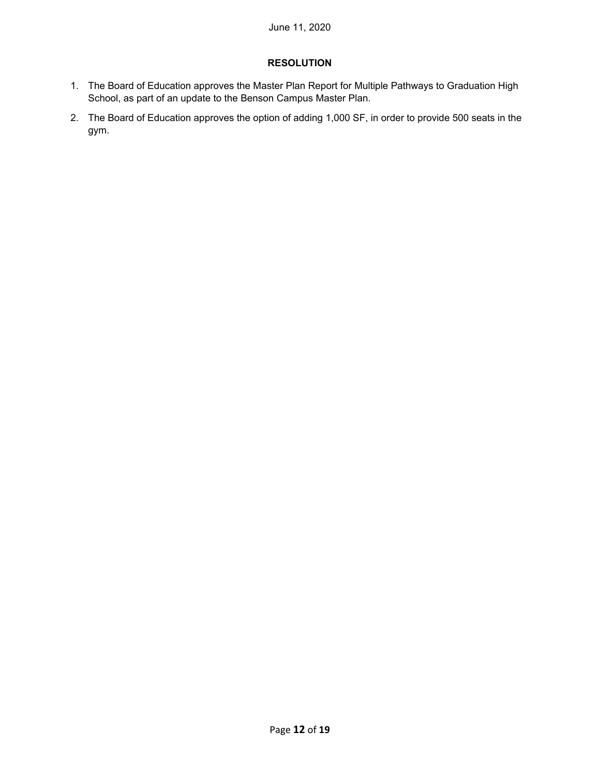- 1. The Board of Education approves the Master Plan Report for Multiple Pathways to Graduation High School, as part of an update to the Benson Campus Master Plan.
- 2. The Board of Education approves the option of adding 1,000 SF, in order to provide 500 seats in the gym.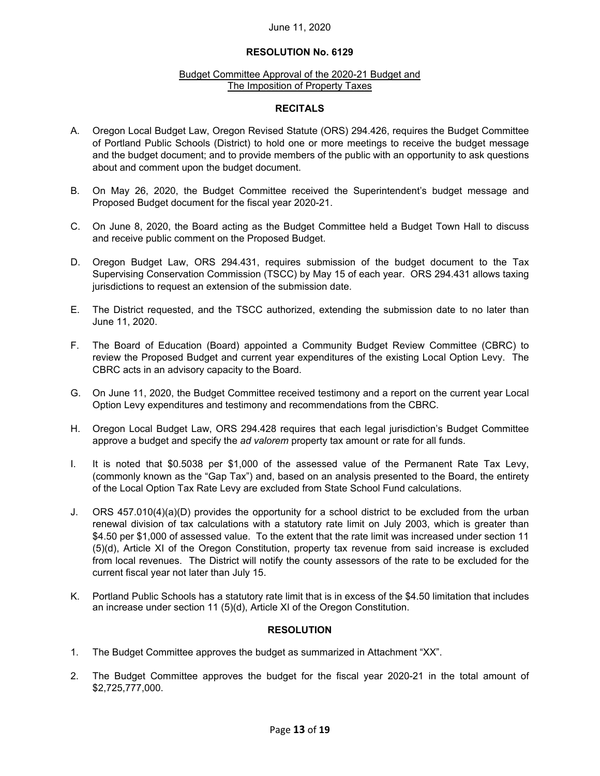#### **RESOLUTION No. 6129**

#### Budget Committee Approval of the 2020-21 Budget and The Imposition of Property Taxes

#### **RECITALS**

- A. Oregon Local Budget Law, Oregon Revised Statute (ORS) 294.426, requires the Budget Committee of Portland Public Schools (District) to hold one or more meetings to receive the budget message and the budget document; and to provide members of the public with an opportunity to ask questions about and comment upon the budget document.
- B. On May 26, 2020, the Budget Committee received the Superintendent's budget message and Proposed Budget document for the fiscal year 2020-21.
- C. On June 8, 2020, the Board acting as the Budget Committee held a Budget Town Hall to discuss and receive public comment on the Proposed Budget.
- D. Oregon Budget Law, ORS 294.431, requires submission of the budget document to the Tax Supervising Conservation Commission (TSCC) by May 15 of each year. ORS 294.431 allows taxing jurisdictions to request an extension of the submission date.
- E. The District requested, and the TSCC authorized, extending the submission date to no later than June 11, 2020.
- F. The Board of Education (Board) appointed a Community Budget Review Committee (CBRC) to review the Proposed Budget and current year expenditures of the existing Local Option Levy. The CBRC acts in an advisory capacity to the Board.
- G. On June 11, 2020, the Budget Committee received testimony and a report on the current year Local Option Levy expenditures and testimony and recommendations from the CBRC.
- H. Oregon Local Budget Law, ORS 294.428 requires that each legal jurisdiction's Budget Committee approve a budget and specify the *ad valorem* property tax amount or rate for all funds.
- I. It is noted that \$0.5038 per \$1,000 of the assessed value of the Permanent Rate Tax Levy, (commonly known as the "Gap Tax") and, based on an analysis presented to the Board, the entirety of the Local Option Tax Rate Levy are excluded from State School Fund calculations.
- J. ORS 457.010(4)(a)(D) provides the opportunity for a school district to be excluded from the urban renewal division of tax calculations with a statutory rate limit on July 2003, which is greater than \$4.50 per \$1,000 of assessed value. To the extent that the rate limit was increased under section 11 (5)(d), Article XI of the Oregon Constitution, property tax revenue from said increase is excluded from local revenues. The District will notify the county assessors of the rate to be excluded for the current fiscal year not later than July 15.
- K. Portland Public Schools has a statutory rate limit that is in excess of the \$4.50 limitation that includes an increase under section 11 (5)(d), Article XI of the Oregon Constitution.

- 1. The Budget Committee approves the budget as summarized in Attachment "XX".
- 2. The Budget Committee approves the budget for the fiscal year 2020-21 in the total amount of \$2,725,777,000.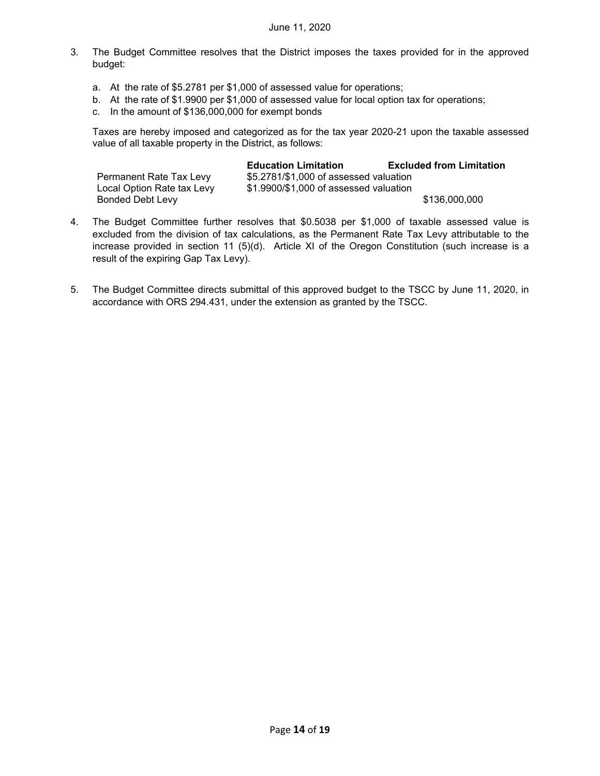- 3. The Budget Committee resolves that the District imposes the taxes provided for in the approved budget:
	- a. At the rate of \$5.2781 per \$1,000 of assessed value for operations;
	- b. At the rate of \$1.9900 per \$1,000 of assessed value for local option tax for operations;
	- c. In the amount of \$136,000,000 for exempt bonds

Taxes are hereby imposed and categorized as for the tax year 2020-21 upon the taxable assessed value of all taxable property in the District, as follows:

|                            | <b>Education Limitation</b>            | <b>Excluded from Limitation</b> |
|----------------------------|----------------------------------------|---------------------------------|
| Permanent Rate Tax Levy    | \$5.2781/\$1,000 of assessed valuation |                                 |
| Local Option Rate tax Levy | \$1.9900/\$1,000 of assessed valuation |                                 |
| <b>Bonded Debt Levy</b>    |                                        | \$136,000,000                   |

- 4. The Budget Committee further resolves that \$0.5038 per \$1,000 of taxable assessed value is excluded from the division of tax calculations, as the Permanent Rate Tax Levy attributable to the increase provided in section 11 (5)(d). Article XI of the Oregon Constitution (such increase is a result of the expiring Gap Tax Levy).
- 5. The Budget Committee directs submittal of this approved budget to the TSCC by June 11, 2020, in accordance with ORS 294.431, under the extension as granted by the TSCC.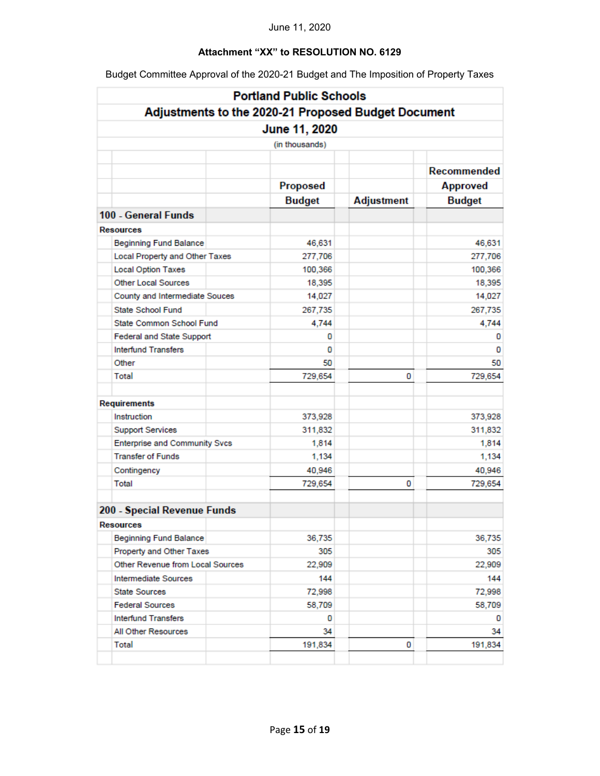# **Attachment "XX" to RESOLUTION NO. 6129**

Budget Committee Approval of the 2020-21 Budget and The Imposition of Property Taxes

|                                                     | <b>Portland Public Schools</b> |                   |                    |
|-----------------------------------------------------|--------------------------------|-------------------|--------------------|
| Adjustments to the 2020-21 Proposed Budget Document |                                |                   |                    |
|                                                     | June 11, 2020                  |                   |                    |
|                                                     | (in thousands)                 |                   |                    |
|                                                     |                                |                   |                    |
|                                                     |                                |                   | <b>Recommended</b> |
|                                                     | Proposed                       |                   | <b>Approved</b>    |
|                                                     | <b>Budget</b>                  | <b>Adjustment</b> | <b>Budget</b>      |
| 100 - General Funds                                 |                                |                   |                    |
| <b>Resources</b>                                    |                                |                   |                    |
| <b>Beginning Fund Balance</b>                       | 46,631                         |                   | 46,631             |
| Local Property and Other Taxes                      | 277,706                        |                   | 277,706            |
| <b>Local Option Taxes</b>                           | 100,366                        |                   | 100,366            |
| <b>Other Local Sources</b>                          | 18,395                         |                   | 18,395             |
| County and Intermediate Souces                      | 14,027                         |                   | 14,027             |
| <b>State School Fund</b>                            | 267,735                        |                   | 267,735            |
| State Common School Fund                            | 4,744                          |                   | 4,744              |
| Federal and State Support                           | 0                              |                   | 0                  |
| <b>Interfund Transfers</b>                          | 0                              |                   | 0                  |
| Other                                               | 50                             |                   | 50                 |
| Total                                               | 729,654                        | 0                 | 729,654            |
| <b>Requirements</b>                                 |                                |                   |                    |
| Instruction                                         | 373,928                        |                   | 373,928            |
| <b>Support Services</b>                             | 311,832                        |                   | 311,832            |
| Enterprise and Community Svcs                       | 1,814                          |                   | 1,814              |
| <b>Transfer of Funds</b>                            | 1,134                          |                   | 1,134              |
| Contingency                                         | 40,946                         |                   | 40,946             |
| Total                                               | 729,654                        | 0                 | 729,654            |
| 200 - Special Revenue Funds                         |                                |                   |                    |
| Resources                                           |                                |                   |                    |
| <b>Beginning Fund Balance</b>                       | 36,735                         |                   | 36,735             |
| Property and Other Taxes                            | 305                            |                   | 305                |
| Other Revenue from Local Sources                    | 22,909                         |                   | 22,909             |
| Intermediate Sources                                | 144                            |                   | 144                |
| <b>State Sources</b>                                | 72,998                         |                   | 72,998             |
| <b>Federal Sources</b>                              | 58,709                         |                   | 58,709             |
| <b>Interfund Transfers</b>                          | 0                              |                   | 0                  |
| All Other Resources                                 | 34                             |                   | 34                 |
| <b>Total</b>                                        | 191,834                        | 0                 | 191,834            |
|                                                     |                                |                   |                    |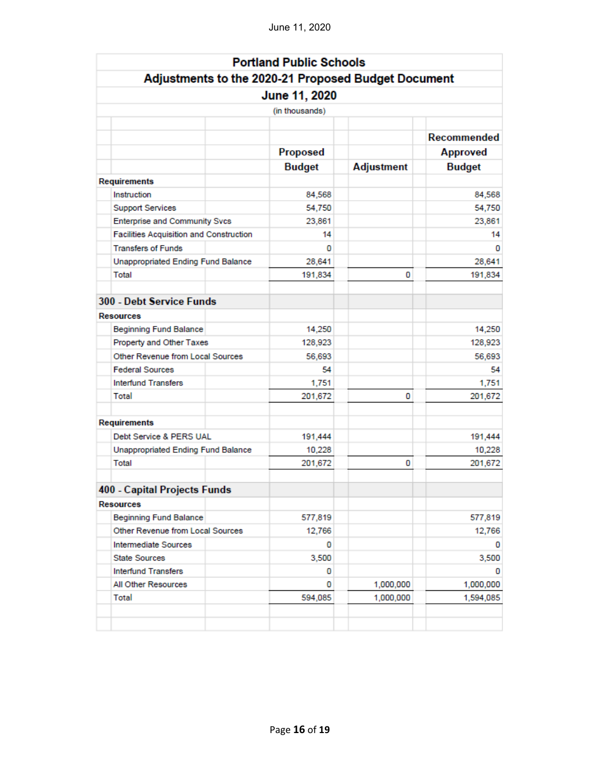|                                                     | <b>Portland Public Schools</b> |                   |                    |
|-----------------------------------------------------|--------------------------------|-------------------|--------------------|
| Adjustments to the 2020-21 Proposed Budget Document |                                |                   |                    |
|                                                     | June 11, 2020                  |                   |                    |
|                                                     | (in thousands)                 |                   |                    |
|                                                     |                                |                   |                    |
|                                                     |                                |                   | <b>Recommended</b> |
|                                                     | Proposed                       |                   | <b>Approved</b>    |
|                                                     | <b>Budget</b>                  | <b>Adjustment</b> | <b>Budget</b>      |
| <b>Requirements</b>                                 |                                |                   |                    |
| Instruction                                         | 84,568                         |                   | 84,568             |
| <b>Support Services</b>                             | 54,750                         |                   | 54,750             |
| <b>Enterprise and Community Svcs</b>                | 23,861                         |                   | 23,861             |
| Facilities Acquisition and Construction             | 14                             |                   | 14                 |
| <b>Transfers of Funds</b>                           | 0                              |                   | 0                  |
| Unappropriated Ending Fund Balance                  | 28,641                         |                   | 28,641             |
| Total                                               | 191,834                        | 0                 | 191,834            |
| 300 - Debt Service Funds                            |                                |                   |                    |
| <b>Resources</b>                                    |                                |                   |                    |
| <b>Beginning Fund Balance</b>                       | 14,250                         |                   | 14,250             |
| Property and Other Taxes                            | 128,923                        |                   | 128,923            |
| Other Revenue from Local Sources                    | 56,693                         |                   | 56,693             |
| <b>Federal Sources</b>                              | 54                             |                   | 54                 |
| <b>Interfund Transfers</b>                          | 1,751                          |                   | 1,751              |
| Total                                               | 201,672                        | 0                 | 201,672            |
| <b>Requirements</b>                                 |                                |                   |                    |
| Debt Service & PERS UAL                             | 191,444                        |                   | 191,444            |
| <b>Unappropriated Ending Fund Balance</b>           | 10,228                         |                   | 10,228             |
| Total                                               | 201,672                        | 0                 | 201,672            |
| 400 - Capital Projects Funds                        |                                |                   |                    |
| <b>Resources</b>                                    |                                |                   |                    |
| <b>Beginning Fund Balance</b>                       | 577,819                        |                   | 577,819            |
| Other Revenue from Local Sources                    | 12,766                         |                   | 12,766             |
| Intermediate Sources                                | 0                              |                   | 0                  |
| <b>State Sources</b>                                | 3,500                          |                   | 3,500              |
| <b>Interfund Transfers</b>                          | 0                              |                   | 0                  |
| All Other Resources                                 | 0                              | 1,000,000         | 1,000,000          |
| <b>Total</b>                                        | 594,085                        | 1,000,000         | 1,594,085          |
|                                                     |                                |                   |                    |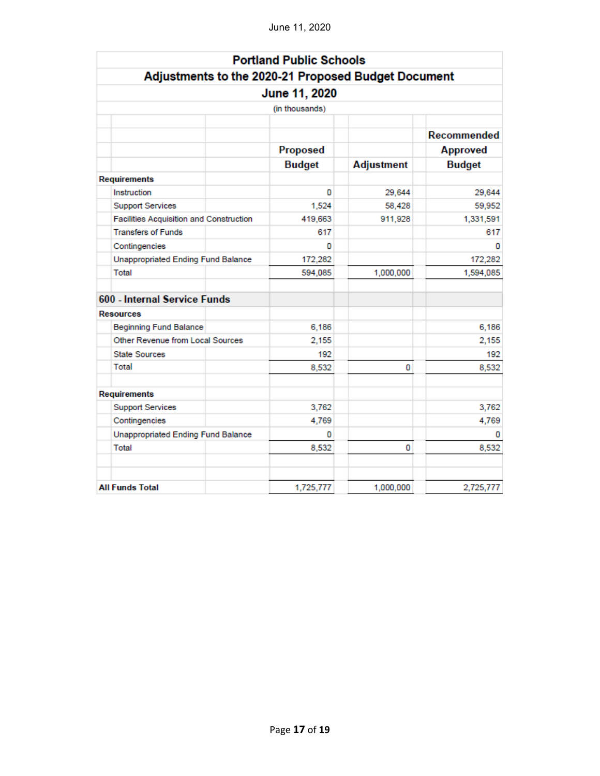|                                                     | <b>Portland Public Schools</b> |                   |                 |
|-----------------------------------------------------|--------------------------------|-------------------|-----------------|
| Adjustments to the 2020-21 Proposed Budget Document |                                |                   |                 |
|                                                     | June 11, 2020                  |                   |                 |
|                                                     | (in thousands)                 |                   |                 |
|                                                     |                                |                   |                 |
|                                                     |                                |                   | Recommended     |
|                                                     | Proposed                       |                   | <b>Approved</b> |
|                                                     | <b>Budget</b>                  | <b>Adjustment</b> | <b>Budget</b>   |
| Requirements                                        |                                |                   |                 |
| Instruction                                         | 0                              | 29,644            | 29,644          |
| <b>Support Services</b>                             | 1,524                          | 58,428            | 59,952          |
| Facilities Acquisition and Construction             | 419,663                        | 911,928           | 1,331,591       |
| <b>Transfers of Funds</b>                           | 617                            |                   | 617             |
| Contingencies                                       | o                              |                   | n               |
| <b>Unappropriated Ending Fund Balance</b>           | 172,282                        |                   | 172,282         |
| Total                                               | 594,085                        | 1,000,000         | 1,594,085       |
| 600 - Internal Service Funds                        |                                |                   |                 |
| <b>Resources</b>                                    |                                |                   |                 |
| <b>Beginning Fund Balance</b>                       | 6,186                          |                   | 6,186           |
| Other Revenue from Local Sources                    | 2.155                          |                   | 2,155           |
| <b>State Sources</b>                                | 192                            |                   | 192             |
| Total                                               | 8,532                          | o                 | 8,532           |
| Requirements                                        |                                |                   |                 |
| <b>Support Services</b>                             | 3,762                          |                   | 3,762           |
| Contingencies                                       | 4,769                          |                   | 4,769           |
| Unappropriated Ending Fund Balance                  | o                              |                   | o               |
| Total                                               | 8,532                          | 0                 | 8,532           |
| <b>All Funds Total</b>                              | 1,725,777                      | 1,000,000         | 2,725,777       |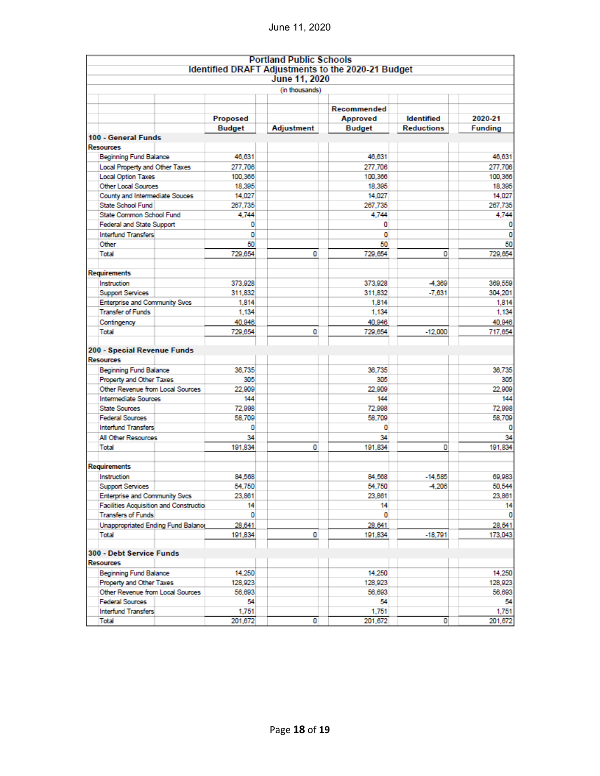|                                                      |                   |                | <b>Portland Public Schools</b><br>Identified DRAFT Adjustments to the 2020-21 Budget |                   |                                                                                                        |
|------------------------------------------------------|-------------------|----------------|--------------------------------------------------------------------------------------|-------------------|--------------------------------------------------------------------------------------------------------|
|                                                      |                   | June 11, 2020  |                                                                                      |                   |                                                                                                        |
|                                                      |                   | (in thousands) |                                                                                      |                   |                                                                                                        |
|                                                      |                   |                |                                                                                      |                   |                                                                                                        |
|                                                      |                   |                | Recommended                                                                          |                   |                                                                                                        |
|                                                      | Proposed          |                | <b>Approved</b>                                                                      | <b>Identified</b> | 2020-21                                                                                                |
|                                                      | <b>Budget</b>     | Adjustment     | <b>Budget</b>                                                                        | <b>Reductions</b> | <b>Funding</b>                                                                                         |
| 100 - General Funds                                  |                   |                |                                                                                      |                   |                                                                                                        |
| Resources                                            |                   |                |                                                                                      |                   |                                                                                                        |
| <b>Beginning Fund Balance</b>                        | 46.631            |                | 46.631                                                                               |                   | 46,631                                                                                                 |
| Local Property and Other Taxes                       | 277,706           |                | 277,706                                                                              |                   | 277,706                                                                                                |
| <b>Local Option Taxes</b>                            | 100,366           |                | 100.366                                                                              |                   | 100,366                                                                                                |
| Other Local Sources                                  | 18,395            |                | 18.395                                                                               |                   | 18,395                                                                                                 |
| County and Intermediate Souces                       | 14.027            |                | 14.027                                                                               |                   | 14.027                                                                                                 |
| State School Fund                                    | 267,735           |                | 267,735                                                                              |                   | 267,735                                                                                                |
| State Common School Fund                             | 4.744             |                | 4.744                                                                                |                   | 4.744                                                                                                  |
| <b>Federal and State Support</b>                     | ٥                 |                | ٥                                                                                    |                   | 0                                                                                                      |
| <b>Interfund Transfers</b>                           | o                 |                | 0                                                                                    |                   |                                                                                                        |
| Other                                                | 50                |                | 50                                                                                   |                   | 50                                                                                                     |
| Total                                                | 729,654           | ٥              | 729,654                                                                              | 0                 | 729,654                                                                                                |
|                                                      |                   |                |                                                                                      |                   |                                                                                                        |
| Requirements                                         |                   |                |                                                                                      |                   |                                                                                                        |
| Instruction                                          | 373,928           |                | 373,928                                                                              | -4,369            | 369,559                                                                                                |
| <b>Support Services</b>                              | 311,832           |                | 311.832                                                                              | $-7.631$          | 304.201                                                                                                |
| <b>Enterprise and Community Sves</b>                 | 1.814             |                | 1,814                                                                                |                   | 1,814                                                                                                  |
| <b>Transfer of Funds</b>                             | 1,134             |                | 1.134                                                                                |                   | 1,134                                                                                                  |
| Contingency<br>Total                                 | 40,946<br>729,654 | 0              | 40,946<br>729,654                                                                    | $-12,000$         | 40,946<br>717,654                                                                                      |
|                                                      |                   |                |                                                                                      |                   |                                                                                                        |
| 200 - Special Revenue Funds<br><b>Resources</b>      |                   |                |                                                                                      |                   |                                                                                                        |
| <b>Beginning Fund Balance</b>                        | 36,735            |                | 36.735                                                                               |                   |                                                                                                        |
| Property and Other Taxes                             | 305               |                | 305                                                                                  |                   |                                                                                                        |
| Other Revenue from Local Sources                     | 22,909            |                | 22,909                                                                               |                   |                                                                                                        |
| Intermediate Sources                                 | 144               |                | 144                                                                                  |                   |                                                                                                        |
| <b>State Sources</b>                                 | 72,998            |                | 72,998                                                                               |                   |                                                                                                        |
| <b>Federal Sources</b>                               | 58,709            |                | 58.709                                                                               |                   |                                                                                                        |
| <b>Interfund Transfers</b>                           | 0                 |                | o                                                                                    |                   |                                                                                                        |
| All Other Resources                                  | 34                |                | 34                                                                                   |                   |                                                                                                        |
| Total                                                | 191.834           | 0              | 191.834                                                                              | 0                 |                                                                                                        |
| Requirements                                         |                   |                |                                                                                      |                   |                                                                                                        |
| Instruction                                          | 84.568            |                | 84.568                                                                               | $-14.585$         |                                                                                                        |
| <b>Support Services</b>                              | 54.750            |                | 54.750                                                                               | $-4,206$          |                                                                                                        |
| <b>Enterprise and Community Sves</b>                 | 23,861            |                | 23,861                                                                               |                   | 36.735<br>305<br>22,909<br>144<br>72,998<br>58.709<br>0<br>34<br>191.834<br>69,983<br>50,544<br>23,861 |
| <b>Facilities Acquisition and Construction</b>       | 14                |                | 14                                                                                   |                   | 14                                                                                                     |
| <b>Transfers of Funds</b>                            | ٥l                |                | $\mathbf{O}$                                                                         |                   |                                                                                                        |
|                                                      | 28,641            |                | 28,641                                                                               |                   | 28,641                                                                                                 |
| Unappropriated Ending Fund Balance<br>Total          | 191,834           | ٥              | 191,834                                                                              | $-18,791$         |                                                                                                        |
|                                                      |                   |                |                                                                                      |                   |                                                                                                        |
| 300 - Debt Service Funds                             |                   |                |                                                                                      |                   |                                                                                                        |
| <b>Resources</b>                                     |                   |                |                                                                                      |                   |                                                                                                        |
| <b>Beginning Fund Balance</b>                        | 14.250            |                | 14.250                                                                               |                   |                                                                                                        |
| Property and Other Taxes                             | 128,923           |                | 128,923                                                                              |                   |                                                                                                        |
| Other Revenue from Local Sources                     | 56,693            |                | 56,693                                                                               |                   | 173,043<br>14.250<br>128,923<br>56,693                                                                 |
| <b>Federal Sources</b><br><b>Interfund Transfers</b> | 54<br>1,751       |                | 54<br>1,751                                                                          |                   | 54<br>1,751                                                                                            |